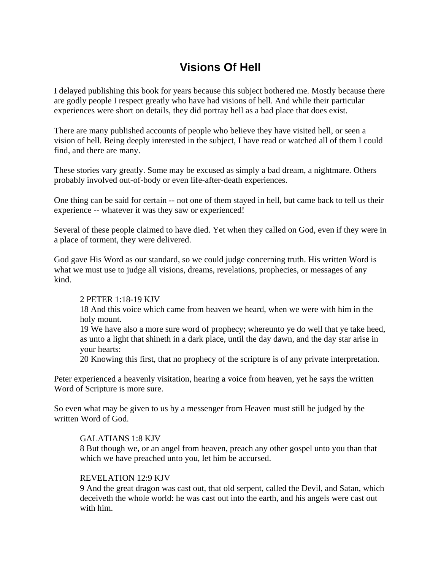# **Visions Of Hell**

I delayed publishing this book for years because this subject bothered me. Mostly because there are godly people I respect greatly who have had visions of hell. And while their particular experiences were short on details, they did portray hell as a bad place that does exist.

There are many published accounts of people who believe they have visited hell, or seen a vision of hell. Being deeply interested in the subject, I have read or watched all of them I could find, and there are many.

These stories vary greatly. Some may be excused as simply a bad dream, a nightmare. Others probably involved out-of-body or even life-after-death experiences.

One thing can be said for certain -- not one of them stayed in hell, but came back to tell us their experience -- whatever it was they saw or experienced!

Several of these people claimed to have died. Yet when they called on God, even if they were in a place of torment, they were delivered.

God gave His Word as our standard, so we could judge concerning truth. His written Word is what we must use to judge all visions, dreams, revelations, prophecies, or messages of any kind.

## 2 PETER 1:18-19 KJV

18 And this voice which came from heaven we heard, when we were with him in the holy mount.

19 We have also a more sure word of prophecy; whereunto ye do well that ye take heed, as unto a light that shineth in a dark place, until the day dawn, and the day star arise in your hearts:

20 Knowing this first, that no prophecy of the scripture is of any private interpretation.

Peter experienced a heavenly visitation, hearing a voice from heaven, yet he says the written Word of Scripture is more sure.

So even what may be given to us by a messenger from Heaven must still be judged by the written Word of God.

## GALATIANS 1:8 KJV

8 But though we, or an angel from heaven, preach any other gospel unto you than that which we have preached unto you, let him be accursed.

## REVELATION 12:9 KJV

9 And the great dragon was cast out, that old serpent, called the Devil, and Satan, which deceiveth the whole world: he was cast out into the earth, and his angels were cast out with him.